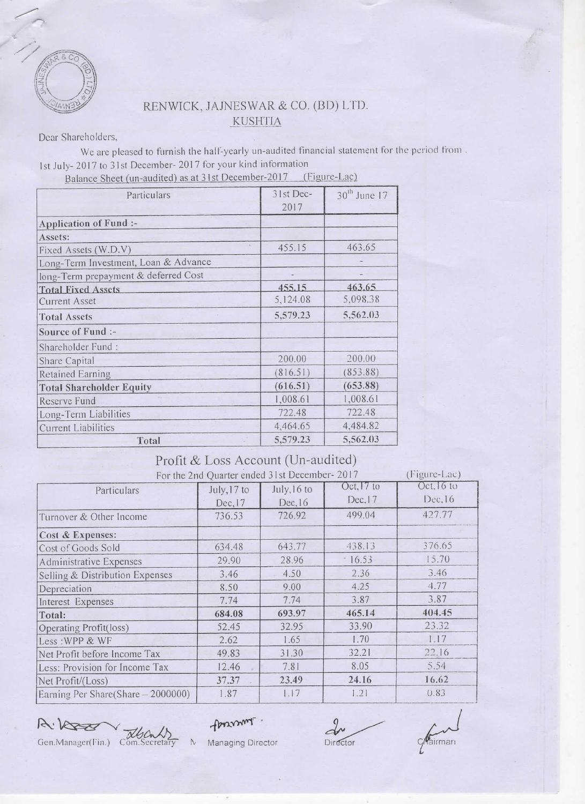

## RENWICK, JAJNESWAR & CO. (BD) LTD. **KUSHTIA**

Dear Shareholders,

We are pleased to furnish the half-yearly un-audited financial statement for the period from. 1st July-2017 to 31st December-2017 for your kind information Balance Sheet (un-audited) as at 31st December-2017 (Figure-Lac)

| Particulars                          | 31st Dec- | $30th$ June 17 |
|--------------------------------------|-----------|----------------|
|                                      | 2017      |                |
| Application of Fund :-               |           |                |
| Assets:                              |           |                |
| Fixed Assets (W.D.V)                 | 455.15    | 463.65         |
| Long-Term Investment, Loan & Advance |           |                |
| long-Term prepayment & deferred Cost |           |                |
| <b>Total Fixed Assets</b>            | 455.15    | 463.65         |
| <b>Current Asset</b>                 | 5,124.08  | 5,098.38       |
| <b>Total Assets</b>                  | 5,579.23  | 5,562.03       |
| Source of Fund :-                    |           |                |
| Shareholder Fund:                    |           |                |
| Share Capital                        | 200.00    | 200.00         |
| Retained Earning                     | (816.51)  | (853.88)       |
| <b>Total Shareholder Equity</b>      | (616.51)  | (653.88)       |
| Reserve Fund                         | 1,008.61  | 1,008.61       |
| Long-Term Liabilities                | 722.48    | 722.48         |
| <b>Current Liabilities</b>           | 4,464.65  | 4,484.82       |
| Total                                | 5,579.23  | 5,562.03       |

## Profit & Loss Account (Un-audited)

| For the 2nd Quarter ended 31st December-2017<br>, г тепте-пас) |             |             |              |            |  |
|----------------------------------------------------------------|-------------|-------------|--------------|------------|--|
| Particulars                                                    | July, 17 to | July, 16 to | Oct, $17$ to | Oct. 16 to |  |
|                                                                | Dec, 17     | Dec, 16     | Dec.17       | Dec, 16    |  |
| Turnover & Other Income                                        | 736.53      | 726.92      | 499.04       | 427.77     |  |
| Cost & Expenses:                                               |             |             |              |            |  |
| Cost of Goods Sold                                             | 634.48      | 643.77      | 438.13       | 376.65     |  |
| Administrative Expenses                                        | 29.90       | 28.96       | 16.53        | 15.70      |  |
| Selling & Distribution Expenses                                | 3.46        | 4.50        | 2.36         | 3.46       |  |
| Depreciation                                                   | 8.50        | 9.00        | 4.25         | 4.77       |  |
| Interest Expenses                                              | 7.74        | 7.74        | 3.87         | 3.87       |  |
| Total:                                                         | 684.08      | 693.97      | 465.14       | 404.45     |  |
| Operating Profit(loss)                                         | 52.45       | 32.95       | 33.90        | 23.32      |  |
| Less: WPP & WF                                                 | 2.62        | 1.65        | 1.70         | 1.17       |  |
| Net Profit before Income Tax                                   | 49.83       | 31.30       | 32.21        | 22.16      |  |
| Less: Provision for Income Tax                                 | 12.46       | 7.81        | 8.05         | 5.54       |  |
| Net Profit/(Loss)                                              | 37.37       | 23.49       | 24.16        | 16.62      |  |
| Earning Per Share(Share - 2000000)                             | 1.87        | 1.17        | 1.21         | 0.83       |  |

A: Kees Gen.Manager(Fin.) Com.Secretary

formant.

Director

cairman

Managing Director  $\mathcal{N}$